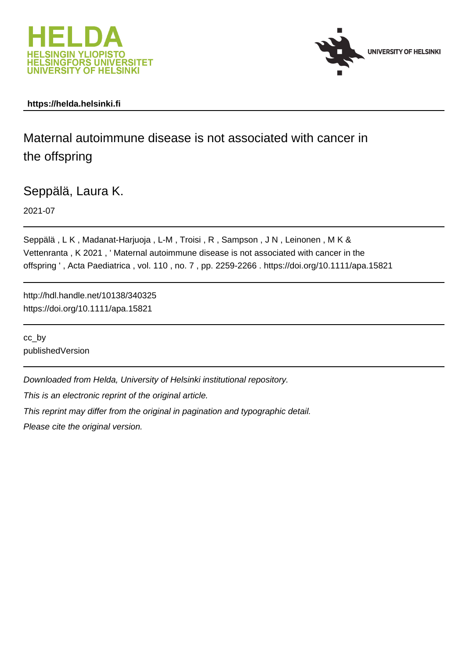



## **https://helda.helsinki.fi**

# Maternal autoimmune disease is not associated with cancer in the offspring

Seppälä, Laura K.

2021-07

Seppälä , L K , Madanat-Harjuoja , L-M , Troisi , R , Sampson , J N , Leinonen , M K & Vettenranta , K 2021 , ' Maternal autoimmune disease is not associated with cancer in the offspring ' , Acta Paediatrica , vol. 110 , no. 7 , pp. 2259-2266 . https://doi.org/10.1111/apa.15821

http://hdl.handle.net/10138/340325 https://doi.org/10.1111/apa.15821

cc\_by publishedVersion

Downloaded from Helda, University of Helsinki institutional repository.

This is an electronic reprint of the original article.

This reprint may differ from the original in pagination and typographic detail.

Please cite the original version.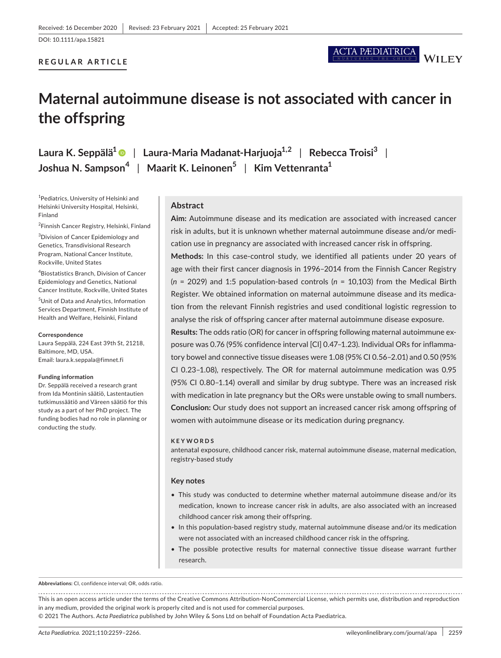DOI: 10.1111/apa.15821

#### **REGULAR ARTICLE**

#### ACTA PÆDIATRICA **WILEY**

# **Maternal autoimmune disease is not associated with cancer in the offspring**

**Laura K. Seppälä1** | **Laura-Maria Madanat-Harjuoja1,2** | **Rebecca Troisi3** | **Joshua N. Sampson<sup>4</sup>** | **Maarit K. Leinonen5** | **Kim Vettenranta1**

1 Pediatrics, University of Helsinki and Helsinki University Hospital, Helsinki, Finland

2 Finnish Cancer Registry, Helsinki, Finland

3 Division of Cancer Epidemiology and Genetics, Transdivisional Research Program, National Cancer Institute, Rockville, United States

4 Biostatistics Branch, Division of Cancer Epidemiology and Genetics, National Cancer Institute, Rockville, United States

5 Unit of Data and Analytics, Information Services Department, Finnish Institute of Health and Welfare, Helsinki, Finland

#### **Correspondence**

Laura Seppälä, 224 East 39th St, 21218, Baltimore, MD, USA. Email: [laura.k.seppala@fimnet.fi](mailto:laura.k.seppala@fimnet.fi)

#### **Funding information**

Dr. Seppälä received a research grant from Ida Montinin säätiö, Lastentautien tutkimussäätiö and Väreen säätiö for this study as a part of her PhD project. The funding bodies had no role in planning or conducting the study.

#### **Abstract**

**Aim:** Autoimmune disease and its medication are associated with increased cancer risk in adults, but it is unknown whether maternal autoimmune disease and/or medication use in pregnancy are associated with increased cancer risk in offspring.

**Methods:** In this case-control study, we identified all patients under 20 years of age with their first cancer diagnosis in 1996–2014 from the Finnish Cancer Registry (*n* = 2029) and 1:5 population-based controls (*n* = 10,103) from the Medical Birth Register. We obtained information on maternal autoimmune disease and its medication from the relevant Finnish registries and used conditional logistic regression to analyse the risk of offspring cancer after maternal autoimmune disease exposure.

**Results:** The odds ratio (OR) for cancer in offspring following maternal autoimmune exposure was 0.76 (95% confidence interval [CI] 0.47–1.23). Individual ORs for inflammatory bowel and connective tissue diseases were 1.08 (95% CI 0.56–2.01) and 0.50 (95% CI 0.23–1.08), respectively. The OR for maternal autoimmune medication was 0.95 (95% CI 0.80–1.14) overall and similar by drug subtype. There was an increased risk with medication in late pregnancy but the ORs were unstable owing to small numbers. **Conclusion:** Our study does not support an increased cancer risk among offspring of women with autoimmune disease or its medication during pregnancy.

#### **KEYWORDS**

antenatal exposure, childhood cancer risk, maternal autoimmune disease, maternal medication, registry-based study

#### **Key notes**

- This study was conducted to determine whether maternal autoimmune disease and/or its medication, known to increase cancer risk in adults, are also associated with an increased childhood cancer risk among their offspring.
- In this population-based registry study, maternal autoimmune disease and/or its medication were not associated with an increased childhood cancer risk in the offspring.
- The possible protective results for maternal connective tissue disease warrant further research.

**Abbreviations:** CI, confidence interval; OR, odds ratio.

This is an open access article under the terms of the [Creative Commons Attribution-NonCommercial](http://creativecommons.org/licenses/by-nc/4.0/) License, which permits use, distribution and reproduction in any medium, provided the original work is properly cited and is not used for commercial purposes.

© 2021 The Authors. *Acta Paediatrica* published by John Wiley & Sons Ltd on behalf of Foundation Acta Paediatrica.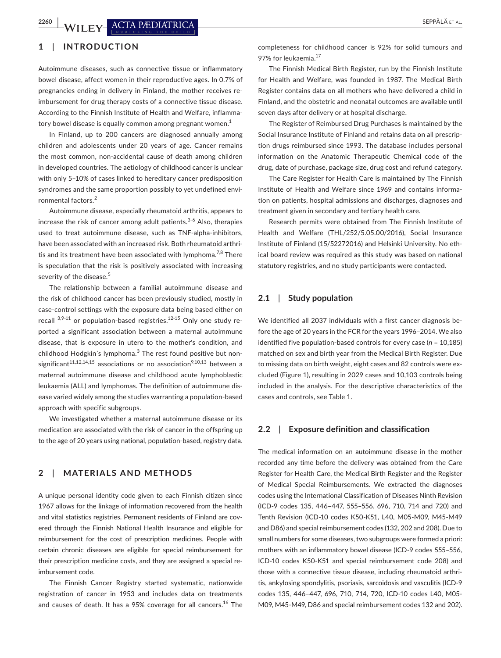# **1**  | **INTRODUCTION**

Autoimmune diseases, such as connective tissue or inflammatory bowel disease, affect women in their reproductive ages. In 0.7% of pregnancies ending in delivery in Finland, the mother receives reimbursement for drug therapy costs of a connective tissue disease. According to the Finnish Institute of Health and Welfare, inflammatory bowel disease is equally common among pregnant women.<sup>1</sup>

In Finland, up to 200 cancers are diagnosed annually among children and adolescents under 20 years of age. Cancer remains the most common, non-accidental cause of death among children in developed countries. The aetiology of childhood cancer is unclear with only 5–10% of cases linked to hereditary cancer predisposition syndromes and the same proportion possibly to yet undefined environmental factors.<sup>2</sup>

Autoimmune disease, especially rheumatoid arthritis, appears to increase the risk of cancer among adult patients.<sup>3-6</sup> Also, therapies used to treat autoimmune disease, such as TNF-alpha-inhibitors, have been associated with an increased risk. Both rheumatoid arthritis and its treatment have been associated with lymphoma.<sup>7,8</sup> There is speculation that the risk is positively associated with increasing severity of the disease.<sup>5</sup>

The relationship between a familial autoimmune disease and the risk of childhood cancer has been previously studied, mostly in case-control settings with the exposure data being based either on recall  $3,9-11$  or population-based registries.<sup>12-15</sup> Only one study reported a significant association between a maternal autoimmune disease, that is exposure in utero to the mother's condition, and childhood Hodgkin's lymphoma.<sup>3</sup> The rest found positive but nonsignificant<sup>11,12,14,15</sup> associations or no association<sup>9,10,13</sup> between a maternal autoimmune disease and childhood acute lymphoblastic leukaemia (ALL) and lymphomas. The definition of autoimmune disease varied widely among the studies warranting a population-based approach with specific subgroups.

We investigated whether a maternal autoimmune disease or its medication are associated with the risk of cancer in the offspring up to the age of 20 years using national, population-based, registry data.

### **2**  | **MATERIALS AND METHODS**

A unique personal identity code given to each Finnish citizen since 1967 allows for the linkage of information recovered from the health and vital statistics registries. Permanent residents of Finland are covered through the Finnish National Health Insurance and eligible for reimbursement for the cost of prescription medicines. People with certain chronic diseases are eligible for special reimbursement for their prescription medicine costs, and they are assigned a special reimbursement code.

The Finnish Cancer Registry started systematic, nationwide registration of cancer in 1953 and includes data on treatments and causes of death. It has a 95% coverage for all cancers.<sup>16</sup> The completeness for childhood cancer is 92% for solid tumours and 97% for leukaemia.<sup>17</sup>

The Finnish Medical Birth Register, run by the Finnish Institute for Health and Welfare, was founded in 1987. The Medical Birth Register contains data on all mothers who have delivered a child in Finland, and the obstetric and neonatal outcomes are available until seven days after delivery or at hospital discharge.

The Register of Reimbursed Drug Purchases is maintained by the Social Insurance Institute of Finland and retains data on all prescription drugs reimbursed since 1993. The database includes personal information on the Anatomic Therapeutic Chemical code of the drug, date of purchase, package size, drug cost and refund category.

The Care Register for Health Care is maintained by The Finnish Institute of Health and Welfare since 1969 and contains information on patients, hospital admissions and discharges, diagnoses and treatment given in secondary and tertiary health care.

Research permits were obtained from The Finnish Institute of Health and Welfare (THL/252/5.05.00/2016), Social Insurance Institute of Finland (15/52272016) and Helsinki University. No ethical board review was required as this study was based on national statutory registries, and no study participants were contacted.

#### **2.1**  | **Study population**

We identified all 2037 individuals with a first cancer diagnosis before the age of 20 years in the FCR for the years 1996–2014. We also identified five population-based controls for every case (*n* = 10,185) matched on sex and birth year from the Medical Birth Register. Due to missing data on birth weight, eight cases and 82 controls were excluded (Figure 1), resulting in 2029 cases and 10,103 controls being included in the analysis. For the descriptive characteristics of the cases and controls, see Table 1.

## **2.2**  | **Exposure definition and classification**

The medical information on an autoimmune disease in the mother recorded any time before the delivery was obtained from the Care Register for Health Care, the Medical Birth Register and the Register of Medical Special Reimbursements. We extracted the diagnoses codes using the International Classification of Diseases Ninth Revision (ICD-9 codes 135, 446–447, 555–556, 696, 710, 714 and 720) and Tenth Revision (ICD-10 codes K50-K51, L40, M05-M09, M45-M49 and D86) and special reimbursement codes (132, 202 and 208). Due to small numbers for some diseases, two subgroups were formed a priori: mothers with an inflammatory bowel disease (ICD-9 codes 555–556, ICD-10 codes K50-K51 and special reimbursement code 208) and those with a connective tissue disease, including rheumatoid arthritis, ankylosing spondylitis, psoriasis, sarcoidosis and vasculitis (ICD-9 codes 135, 446–447, 696, 710, 714, 720, ICD-10 codes L40, M05- M09, M45-M49, D86 and special reimbursement codes 132 and 202).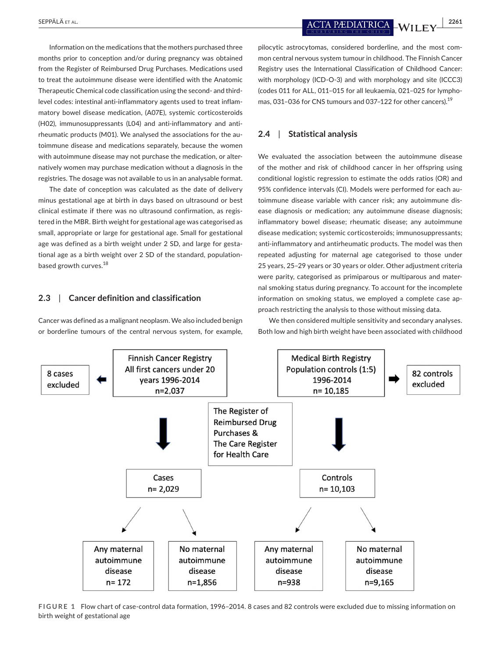Information on the medications that the mothers purchased three months prior to conception and/or during pregnancy was obtained from the Register of Reimbursed Drug Purchases. Medications used to treat the autoimmune disease were identified with the Anatomic Therapeutic Chemical code classification using the second- and thirdlevel codes: intestinal anti-inflammatory agents used to treat inflammatory bowel disease medication, (A07E), systemic corticosteroids (H02), immunosuppressants (L04) and anti-inflammatory and antirheumatic products (M01). We analysed the associations for the autoimmune disease and medications separately, because the women with autoimmune disease may not purchase the medication, or alternatively women may purchase medication without a diagnosis in the registries. The dosage was not available to us in an analysable format.

The date of conception was calculated as the date of delivery minus gestational age at birth in days based on ultrasound or best clinical estimate if there was no ultrasound confirmation, as registered in the MBR. Birth weight for gestational age was categorised as small, appropriate or large for gestational age. Small for gestational age was defined as a birth weight under 2 SD, and large for gestational age as a birth weight over 2 SD of the standard, populationbased growth curves.<sup>18</sup>

#### **2.3**  | **Cancer definition and classification**

Cancer was defined as a malignant neoplasm. We also included benign or borderline tumours of the central nervous system, for example,

pilocytic astrocytomas, considered borderline, and the most common central nervous system tumour in childhood. The Finnish Cancer Registry uses the International Classification of Childhood Cancer: with morphology (ICD-O-3) and with morphology and site (ICCC3) (codes 011 for ALL, 011–015 for all leukaemia, 021–025 for lymphomas, 031–036 for CNS tumours and 037–122 for other cancers).<sup>19</sup>

#### **2.4**  | **Statistical analysis**

We evaluated the association between the autoimmune disease of the mother and risk of childhood cancer in her offspring using conditional logistic regression to estimate the odds ratios (OR) and 95% confidence intervals (CI). Models were performed for each autoimmune disease variable with cancer risk; any autoimmune disease diagnosis or medication; any autoimmune disease diagnosis; inflammatory bowel disease; rheumatic disease; any autoimmune disease medication; systemic corticosteroids; immunosuppressants; anti-inflammatory and antirheumatic products. The model was then repeated adjusting for maternal age categorised to those under 25 years, 25–29 years or 30 years or older. Other adjustment criteria were parity, categorised as primiparous or multiparous and maternal smoking status during pregnancy. To account for the incomplete information on smoking status, we employed a complete case approach restricting the analysis to those without missing data.

We then considered multiple sensitivity and secondary analyses. Both low and high birth weight have been associated with childhood



**FIGURE 1** Flow chart of case-control data formation, 1996–2014. 8 cases and 82 controls were excluded due to missing information on birth weight of gestational age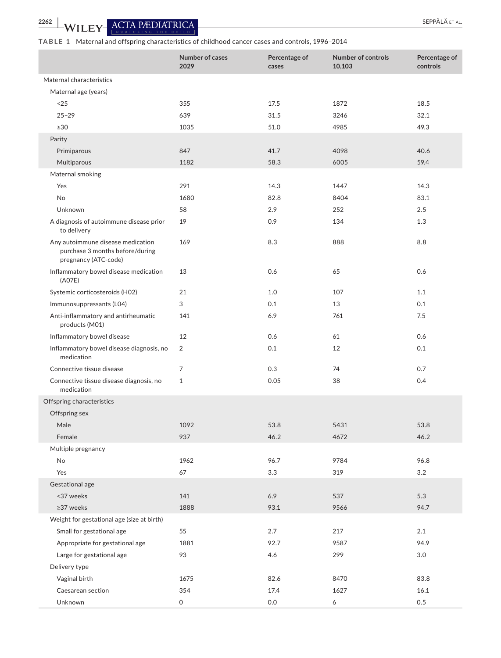**2262 | WILEY- ACTA PÆDIATRICA** SEPPÄLÄ ET AL.

#### **TABLE 1** Maternal and offspring characteristics of childhood cancer cases and controls, 1996–2014

|                                                                                              | <b>Number of cases</b><br>2029 | Percentage of<br>cases | <b>Number of controls</b><br>10,103 | Percentage of<br>controls |
|----------------------------------------------------------------------------------------------|--------------------------------|------------------------|-------------------------------------|---------------------------|
| Maternal characteristics                                                                     |                                |                        |                                     |                           |
| Maternal age (years)                                                                         |                                |                        |                                     |                           |
| < 25                                                                                         | 355                            | 17.5                   | 1872                                | 18.5                      |
| $25 - 29$                                                                                    | 639                            | 31.5                   | 3246                                | 32.1                      |
| $\geq 30$                                                                                    | 1035                           | 51.0                   | 4985                                | 49.3                      |
| Parity                                                                                       |                                |                        |                                     |                           |
| Primiparous                                                                                  | 847                            | 41.7                   | 4098                                | 40.6                      |
| Multiparous                                                                                  | 1182                           | 58.3                   | 6005                                | 59.4                      |
| Maternal smoking                                                                             |                                |                        |                                     |                           |
| Yes                                                                                          | 291                            | 14.3                   | 1447                                | 14.3                      |
| No                                                                                           | 1680                           | 82.8                   | 8404                                | 83.1                      |
| Unknown                                                                                      | 58                             | 2.9                    | 252                                 | 2.5                       |
| A diagnosis of autoimmune disease prior<br>to delivery                                       | 19                             | 0.9                    | 134                                 | 1.3                       |
| Any autoimmune disease medication<br>purchase 3 months before/during<br>pregnancy (ATC-code) | 169                            | 8.3                    | 888                                 | 8.8                       |
| Inflammatory bowel disease medication<br>(A07E)                                              | 13                             | 0.6                    | 65                                  | 0.6                       |
| Systemic corticosteroids (H02)                                                               | 21                             | 1.0                    | 107                                 | 1.1                       |
| Immunosuppressants (L04)                                                                     | 3                              | 0.1                    | 13                                  | 0.1                       |
| Anti-inflammatory and antirheumatic<br>products (M01)                                        | 141                            | 6.9                    | 761                                 | 7.5                       |
| Inflammatory bowel disease                                                                   | 12                             | 0.6                    | 61                                  | 0.6                       |
| Inflammatory bowel disease diagnosis, no<br>medication                                       | 2                              | 0.1                    | 12                                  | 0.1                       |
| Connective tissue disease                                                                    | 7                              | 0.3                    | 74                                  | 0.7                       |
| Connective tissue disease diagnosis, no<br>medication                                        | $\mathbf{1}$                   | 0.05                   | 38                                  | 0.4                       |
| Offspring characteristics                                                                    |                                |                        |                                     |                           |
| Offspring sex                                                                                |                                |                        |                                     |                           |
| Male                                                                                         | 1092                           | 53.8                   | 5431                                | 53.8                      |
| Female                                                                                       | 937                            | 46.2                   | 4672                                | 46.2                      |
| Multiple pregnancy                                                                           |                                |                        |                                     |                           |
| No                                                                                           | 1962                           | 96.7                   | 9784                                | 96.8                      |
| Yes                                                                                          | 67                             | 3.3                    | 319                                 | 3.2                       |
| Gestational age                                                                              |                                |                        |                                     |                           |
| <37 weeks                                                                                    | 141                            | 6.9                    | 537                                 | 5.3                       |
| ≥37 weeks                                                                                    | 1888                           | 93.1                   | 9566                                | 94.7                      |
| Weight for gestational age (size at birth)                                                   |                                |                        |                                     |                           |
| Small for gestational age                                                                    | 55                             | 2.7                    | 217                                 | 2.1                       |
| Appropriate for gestational age                                                              | 1881                           | 92.7                   | 9587                                | 94.9                      |
| Large for gestational age                                                                    | 93                             | 4.6                    | 299                                 | $3.0\,$                   |
| Delivery type                                                                                |                                |                        |                                     |                           |
| Vaginal birth                                                                                | 1675                           | 82.6                   | 8470                                | 83.8                      |
| Caesarean section                                                                            | 354                            | 17.4                   | 1627                                | 16.1                      |
| Unknown                                                                                      | $\mathsf O$                    | 0.0                    | 6                                   | 0.5                       |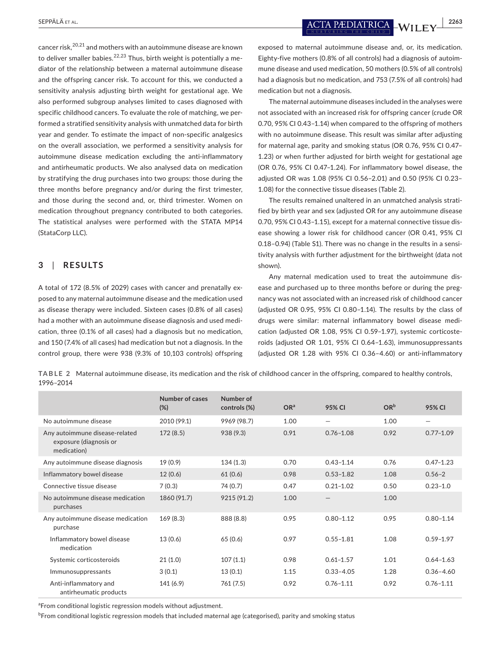SEPPÄLÄ et al. **<sup>|</sup> 2263**

cancer risk,<sup>20,21</sup> and mothers with an autoimmune disease are known to deliver smaller babies.<sup>22,23</sup> Thus, birth weight is potentially a mediator of the relationship between a maternal autoimmune disease and the offspring cancer risk. To account for this, we conducted a sensitivity analysis adjusting birth weight for gestational age. We also performed subgroup analyses limited to cases diagnosed with specific childhood cancers. To evaluate the role of matching, we performed a stratified sensitivity analysis with unmatched data for birth year and gender. To estimate the impact of non-specific analgesics on the overall association, we performed a sensitivity analysis for autoimmune disease medication excluding the anti-inflammatory and antirheumatic products. We also analysed data on medication by stratifying the drug purchases into two groups: those during the three months before pregnancy and/or during the first trimester, and those during the second and, or, third trimester. Women on medication throughout pregnancy contributed to both categories. The statistical analyses were performed with the STATA MP14 (StataCorp LLC).

## **3**  | **RESULTS**

A total of 172 (8.5% of 2029) cases with cancer and prenatally exposed to any maternal autoimmune disease and the medication used as disease therapy were included. Sixteen cases (0.8% of all cases) had a mother with an autoimmune disease diagnosis and used medication, three (0.1% of all cases) had a diagnosis but no medication, and 150 (7.4% of all cases) had medication but not a diagnosis. In the control group, there were 938 (9.3% of 10,103 controls) offspring exposed to maternal autoimmune disease and, or, its medication. Eighty-five mothers (0.8% of all controls) had a diagnosis of autoimmune disease and used medication, 50 mothers (0.5% of all controls) had a diagnosis but no medication, and 753 (7.5% of all controls) had medication but not a diagnosis.

The maternal autoimmune diseases included in the analyses were not associated with an increased risk for offspring cancer (crude OR 0.70, 95% CI 0.43–1.14) when compared to the offspring of mothers with no autoimmune disease. This result was similar after adjusting for maternal age, parity and smoking status (OR 0.76, 95% CI 0.47– 1.23) or when further adjusted for birth weight for gestational age (OR 0.76, 95% CI 0.47–1.24). For inflammatory bowel disease, the adjusted OR was 1.08 (95% CI 0.56–2.01) and 0.50 (95% CI 0.23– 1.08) for the connective tissue diseases (Table 2).

The results remained unaltered in an unmatched analysis stratified by birth year and sex (adjusted OR for any autoimmune disease 0.70, 95% CI 0.43–1.15), except for a maternal connective tissue disease showing a lower risk for childhood cancer (OR 0.41, 95% CI 0.18–0.94) (Table S1). There was no change in the results in a sensitivity analysis with further adjustment for the birthweight (data not shown).

Any maternal medication used to treat the autoimmune disease and purchased up to three months before or during the pregnancy was not associated with an increased risk of childhood cancer (adjusted OR 0.95, 95% CI 0.80–1.14). The results by the class of drugs were similar: maternal inflammatory bowel disease medication (adjusted OR 1.08, 95% CI 0.59–1.97), systemic corticosteroids (adjusted OR 1.01, 95% CI 0.64–1.63), immunosuppressants (adjusted OR 1.28 with 95% CI 0.36–4.60) or anti-inflammatory

**TABLE 2** Maternal autoimmune disease, its medication and the risk of childhood cancer in the offspring, compared to healthy controls, 1996–2014

|                                                                         | Number of cases<br>$(\%)$ | Number of<br>controls (%) | OR <sup>a</sup> | 95% CI        | OR <sup>b</sup> | 95% CI                   |
|-------------------------------------------------------------------------|---------------------------|---------------------------|-----------------|---------------|-----------------|--------------------------|
| No autoimmune disease                                                   | 2010 (99.1)               | 9969 (98.7)               | 1.00            | -             | 1.00            | $\overline{\phantom{0}}$ |
| Any autoimmune disease-related<br>exposure (diagnosis or<br>medication) | 172(8.5)                  | 938 (9.3)                 | 0.91            | $0.76 - 1.08$ | 0.92            | $0.77 - 1.09$            |
| Any autoimmune disease diagnosis                                        | 19 (0.9)                  | 134(1.3)                  | 0.70            | $0.43 - 1.14$ | 0.76            | $0.47 - 1.23$            |
| Inflammatory bowel disease                                              | 12(0.6)                   | 61(0.6)                   | 0.98            | $0.53 - 1.82$ | 1.08            | $0.56 - 2$               |
| Connective tissue disease                                               | 7(0.3)                    | 74 (0.7)                  | 0.47            | $0.21 - 1.02$ | 0.50            | $0.23 - 1.0$             |
| No autoimmune disease medication<br>purchases                           | 1860 (91.7)               | 9215 (91.2)               | 1.00            |               | 1.00            |                          |
| Any autoimmune disease medication<br>purchase                           | 169(8.3)                  | 888 (8.8)                 | 0.95            | $0.80 - 1.12$ | 0.95            | $0.80 - 1.14$            |
| Inflammatory bowel disease<br>medication                                | 13(0.6)                   | 65(0.6)                   | 0.97            | $0.55 - 1.81$ | 1.08            | $0.59 - 1.97$            |
| Systemic corticosteroids                                                | 21(1.0)                   | 107(1.1)                  | 0.98            | $0.61 - 1.57$ | 1.01            | $0.64 - 1.63$            |
| Immunosuppressants                                                      | 3(0.1)                    | 13(0.1)                   | 1.15            | $0.33 - 4.05$ | 1.28            | $0.36 - 4.60$            |
| Anti-inflammatory and<br>antirheumatic products                         | 141 (6.9)                 | 761(7.5)                  | 0.92            | $0.76 - 1.11$ | 0.92            | $0.76 - 1.11$            |

<sup>a</sup> From conditional logistic regression models without adjustment.

<sup>b</sup>From conditional logistic regression models that included maternal age (categorised), parity and smoking status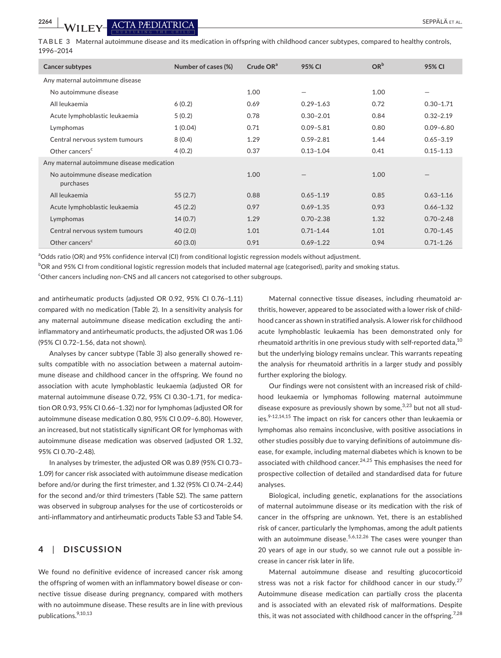**2264 <sup>|</sup>**  SEPPÄLÄ et al.

**TABLE 3** Maternal autoimmune disease and its medication in offspring with childhood cancer subtypes, compared to healthy controls, 1996–2014

| Cancer subtypes                               | Number of cases (%) | Crude $ORa$ | 95% CI                   | OR <sup>b</sup> | 95% CI        |
|-----------------------------------------------|---------------------|-------------|--------------------------|-----------------|---------------|
| Any maternal autoimmune disease               |                     |             |                          |                 |               |
| No autoimmune disease                         |                     | 1.00        | $\overline{\phantom{0}}$ | 1.00            |               |
| All leukaemia                                 | 6(0.2)              | 0.69        | $0.29 - 1.63$            | 0.72            | $0.30 - 1.71$ |
| Acute lymphoblastic leukaemia                 | 5(0.2)              | 0.78        | $0.30 - 2.01$            | 0.84            | $0.32 - 2.19$ |
| Lymphomas                                     | 1(0.04)             | 0.71        | $0.09 - 5.81$            | 0.80            | $0.09 - 6.80$ |
| Central nervous system tumours                | 8(0.4)              | 1.29        | $0.59 - 2.81$            | 1.44            | $0.65 - 3.19$ |
| Other cancers <sup>c</sup>                    | 4(0.2)              | 0.37        | $0.13 - 1.04$            | 0.41            | $0.15 - 1.13$ |
| Any maternal autoimmune disease medication    |                     |             |                          |                 |               |
| No autoimmune disease medication<br>purchases |                     | 1.00        |                          | 1.00            |               |
| All leukaemia                                 | 55(2.7)             | 0.88        | $0.65 - 1.19$            | 0.85            | $0.63 - 1.16$ |
| Acute lymphoblastic leukaemia                 | 45(2.2)             | 0.97        | $0.69 - 1.35$            | 0.93            | $0.66 - 1.32$ |
| Lymphomas                                     | 14(0.7)             | 1.29        | $0.70 - 2.38$            | 1.32            | $0.70 - 2.48$ |
| Central nervous system tumours                | 40(2.0)             | 1.01        | $0.71 - 1.44$            | 1.01            | $0.70 - 1.45$ |
| Other cancers <sup>c</sup>                    | 60(3.0)             | 0.91        | $0.69 - 1.22$            | 0.94            | $0.71 - 1.26$ |

<sup>a</sup>Odds ratio (OR) and 95% confidence interval (CI) from conditional logistic regression models without adjustment.

 $^{\rm b}$ OR and 95% CI from conditional logistic regression models that included maternal age (categorised), parity and smoking status.

<sup>c</sup>Other cancers including non-CNS and all cancers not categorised to other subgroups.

and antirheumatic products (adjusted OR 0.92, 95% CI 0.76–1.11) compared with no medication (Table 2). In a sensitivity analysis for any maternal autoimmune disease medication excluding the antiinflammatory and antirheumatic products, the adjusted OR was 1.06 (95% CI 0.72–1.56, data not shown).

Analyses by cancer subtype (Table 3) also generally showed results compatible with no association between a maternal autoimmune disease and childhood cancer in the offspring. We found no association with acute lymphoblastic leukaemia (adjusted OR for maternal autoimmune disease 0.72, 95% CI 0.30–1.71, for medication OR 0.93, 95% CI 0.66–1.32) nor for lymphomas (adjusted OR for autoimmune disease medication 0.80, 95% CI 0.09–6.80). However, an increased, but not statistically significant OR for lymphomas with autoimmune disease medication was observed (adjusted OR 1.32, 95% CI 0.70–2.48).

In analyses by trimester, the adjusted OR was 0.89 (95% CI 0.73– 1.09) for cancer risk associated with autoimmune disease medication before and/or during the first trimester, and 1.32 (95% CI 0.74–2.44) for the second and/or third trimesters (Table S2). The same pattern was observed in subgroup analyses for the use of corticosteroids or anti-inflammatory and antirheumatic products Table S3 and Table S4.

## **4**  | **DISCUSSION**

We found no definitive evidence of increased cancer risk among the offspring of women with an inflammatory bowel disease or connective tissue disease during pregnancy, compared with mothers with no autoimmune disease. These results are in line with previous publications.9,10,13

Maternal connective tissue diseases, including rheumatoid arthritis, however, appeared to be associated with a lower risk of childhood cancer as shown in stratified analysis. A lower risk for childhood acute lymphoblastic leukaemia has been demonstrated only for rheumatoid arthritis in one previous study with self-reported data, $^{10}$ but the underlying biology remains unclear. This warrants repeating the analysis for rheumatoid arthritis in a larger study and possibly further exploring the biology.

Our findings were not consistent with an increased risk of childhood leukaemia or lymphomas following maternal autoimmune disease exposure as previously shown by some, $3,23$  but not all studies.<sup>9-12,14,15</sup> The impact on risk for cancers other than leukaemia or lymphomas also remains inconclusive, with positive associations in other studies possibly due to varying definitions of autoimmune disease, for example, including maternal diabetes which is known to be associated with childhood cancer.<sup>24,25</sup> This emphasises the need for prospective collection of detailed and standardised data for future analyses.

Biological, including genetic, explanations for the associations of maternal autoimmune disease or its medication with the risk of cancer in the offspring are unknown. Yet, there is an established risk of cancer, particularly the lymphomas, among the adult patients with an autoimmune disease.<sup>5,6,12,26</sup> The cases were younger than 20 years of age in our study, so we cannot rule out a possible increase in cancer risk later in life.

Maternal autoimmune disease and resulting glucocorticoid stress was not a risk factor for childhood cancer in our study.<sup>27</sup> Autoimmune disease medication can partially cross the placenta and is associated with an elevated risk of malformations. Despite this, it was not associated with childhood cancer in the offspring.<sup>7,28</sup>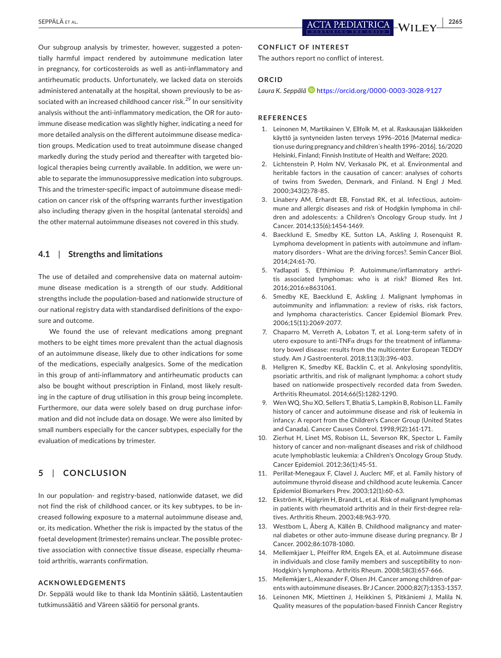SEPPÄLÄ et al. **<sup>|</sup> 2265**

Our subgroup analysis by trimester, however, suggested a potentially harmful impact rendered by autoimmune medication later in pregnancy, for corticosteroids as well as anti-inflammatory and antirheumatic products. Unfortunately, we lacked data on steroids administered antenatally at the hospital, shown previously to be associated with an increased childhood cancer risk. $^{29}$  In our sensitivity analysis without the anti-inflammatory medication, the OR for autoimmune disease medication was slightly higher, indicating a need for more detailed analysis on the different autoimmune disease medication groups. Medication used to treat autoimmune disease changed markedly during the study period and thereafter with targeted biological therapies being currently available. In addition, we were unable to separate the immunosuppressive medication into subgroups. This and the trimester-specific impact of autoimmune disease medication on cancer risk of the offspring warrants further investigation also including therapy given in the hospital (antenatal steroids) and the other maternal autoimmune diseases not covered in this study.

#### **4.1**  | **Strengths and limitations**

The use of detailed and comprehensive data on maternal autoimmune disease medication is a strength of our study. Additional strengths include the population-based and nationwide structure of our national registry data with standardised definitions of the exposure and outcome.

We found the use of relevant medications among pregnant mothers to be eight times more prevalent than the actual diagnosis of an autoimmune disease, likely due to other indications for some of the medications, especially analgesics. Some of the medication in this group of anti-inflammatory and antirheumatic products can also be bought without prescription in Finland, most likely resulting in the capture of drug utilisation in this group being incomplete. Furthermore, our data were solely based on drug purchase information and did not include data on dosage. We were also limited by small numbers especially for the cancer subtypes, especially for the evaluation of medications by trimester.

## **5**  | **CONCLUSION**

In our population- and registry-based, nationwide dataset, we did not find the risk of childhood cancer, or its key subtypes, to be increased following exposure to a maternal autoimmune disease and, or, its medication. Whether the risk is impacted by the status of the foetal development (trimester) remains unclear. The possible protective association with connective tissue disease, especially rheumatoid arthritis, warrants confirmation.

#### **ACKNOWLEDGEMENTS**

Dr. Seppälä would like to thank Ida Montinin säätiö, Lastentautien tutkimussäätiö and Väreen säätiö for personal grants.

### **CONFLICT OF INTEREST**

The authors report no conflict of interest.

### **ORCID**

*Laura K. Seppälä* <https://orcid.org/0000-0003-3028-9127>

#### **REFERENCES**

- 1. Leinonen M, Martikainen V, Ellfolk M, et al. Raskausajan lääkkeiden käyttö ja syntyneiden lasten terveys 1996–2016 [Maternal medication use during pregnancy and children´s health 1996–2016]. 16/2020 Helsinki, Finland; Finnish Institute of Health and Welfare; 2020.
- 2. Lichtenstein P, Holm NV, Verkasalo PK, et al. Environmental and heritable factors in the causation of cancer: analyses of cohorts of twins from Sweden, Denmark, and Finland. N Engl J Med. 2000;343(2):78-85.
- 3. Linabery AM, Erhardt EB, Fonstad RK, et al. Infectious, autoimmune and allergic diseases and risk of Hodgkin lymphoma in children and adolescents: a Children's Oncology Group study. Int J Cancer. 2014;135(6):1454-1469.
- 4. Baecklund E, Smedby KE, Sutton LA, Askling J, Rosenquist R. Lymphoma development in patients with autoimmune and inflammatory disorders - What are the driving forces?. Semin Cancer Biol. 2014;24:61-70.
- 5. Yadlapati S, Efthimiou P. Autoimmune/inflammatory arthritis associated lymphomas: who is at risk? Biomed Res Int. 2016;2016:e8631061.
- 6. Smedby KE, Baecklund E, Askling J. Malignant lymphomas in autoimmunity and inflammation: a review of risks, risk factors, and lymphoma characteristics. Cancer Epidemiol Biomark Prev. 2006;15(11):2069-2077.
- 7. Chaparro M, Verreth A, Lobaton T, et al. Long-term safety of in utero exposure to anti-TNF $\alpha$  drugs for the treatment of inflammatory bowel disease: results from the multicenter European TEDDY study. Am J Gastroenterol. 2018;113(3):396-403.
- 8. Hellgren K, Smedby KE, Backlin C, et al. Ankylosing spondylitis, psoriatic arthritis, and risk of malignant lymphoma: a cohort study based on nationwide prospectively recorded data from Sweden. Arthritis Rheumatol. 2014;66(5):1282-1290.
- 9. Wen WQ, Shu XO, Sellers T, Bhatia S, Lampkin B, Robison LL. Family history of cancer and autoimmune disease and risk of leukemia in infancy: A report from the Children's Cancer Group (United States and Canada). Cancer Causes Control. 1998;9(2):161-171.
- 10. Zierhut H, Linet MS, Robison LL, Severson RK, Spector L. Family history of cancer and non-malignant diseases and risk of childhood acute lymphoblastic leukemia: a Children's Oncology Group Study. Cancer Epidemiol. 2012;36(1):45-51.
- 11. Perillat-Menegaux F, Clavel J, Auclerc MF, et al. Family history of autoimmune thyroid disease and childhood acute leukemia. Cancer Epidemiol Biomarkers Prev. 2003;12(1):60-63.
- 12. Ekström K, Hjalgrim H, Brandt L, et al. Risk of malignant lymphomas in patients with rheumatoid arthritis and in their first-degree relatives. Arthritis Rheum. 2003;48:963-970.
- 13. Westbom L, Åberg A, Källén B. Childhood malignancy and maternal diabetes or other auto-immune disease during pregnancy. Br J Cancer. 2002;86:1078-1080.
- 14. Mellemkjaer L, Pfeiffer RM, Engels EA, et al. Autoimmune disease in individuals and close family members and susceptibility to non-Hodgkin's lymphoma. Arthritis Rheum. 2008;58(3):657-666.
- 15. Mellemkjær L, Alexander F, Olsen JH. Cancer among children of parents with autoimmune diseases. Br J Cancer. 2000;82(7):1353-1357.
- 16. Leinonen MK, Miettinen J, Heikkinen S, Pitkäniemi J, Malila N. Quality measures of the population-based Finnish Cancer Registry